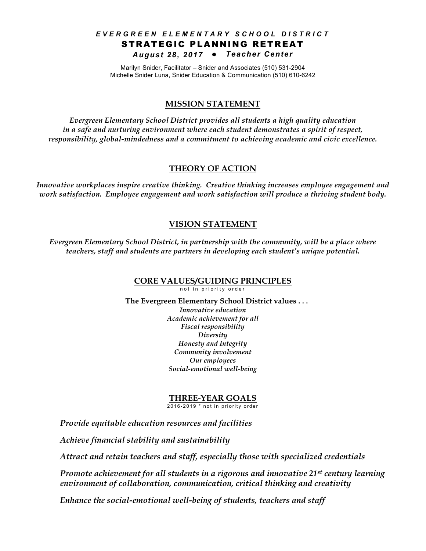### *EVERGREEN ELEMENTARY SCHOOL DISTRIC T* STRATEGIC PLANNING RETREAT *August 28, 2017* l *Teacher Center*

Marilyn Snider, Facilitator – Snider and Associates (510) 531-2904 Michelle Snider Luna, Snider Education & Communication (510) 610-6242

### **MISSION STATEMENT**

*Evergreen Elementary School District provides all students a high quality education in a safe and nurturing environment where each student demonstrates a spirit of respect, responsibility, global-mindedness and a commitment to achieving academic and civic excellence.*

### **THEORY OF ACTION**

*Innovative workplaces inspire creative thinking. Creative thinking increases employee engagement and work satisfaction. Employee engagement and work satisfaction will produce a thriving student body.*

### **VISION STATEMENT**

*Evergreen Elementary School District, in partnership with the community, will be a place where teachers, staff and students are partners in developing each student's unique potential.*

### **CORE VALUES/GUIDING PRINCIPLES**

not in priority order

 **The Evergreen Elementary School District values . . .** *Innovative education Academic achievement for all Fiscal responsibility Diversity Honesty and Integrity Community involvement Our employees Social-emotional well-being*

### **THREE-YEAR GOALS**

2016-2019 \* not in priority order

*Provide equitable education resources and facilities*

*Achieve financial stability and sustainability*

*Attract and retain teachers and staff, especially those with specialized credentials*

*Promote achievement for all students in a rigorous and innovative 21st century learning environment of collaboration, communication, critical thinking and creativity*

*Enhance the social-emotional well-being of students, teachers and staff*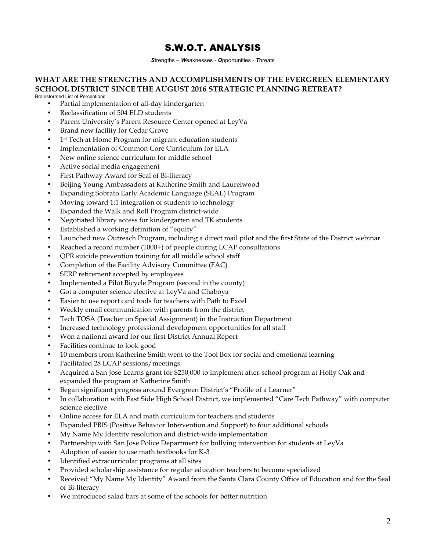# S.W.O.T. ANALYSIS

*S*trengths – *W*eaknesses - *O*pportunities - *T*hreats

## **WHAT ARE THE STRENGTHS AND ACCOMPLISHMENTS OF THE EVERGREEN ELEMENTARY SCHOOL DISTRICT SINCE THE AUGUST 2016 STRATEGIC PLANNING RETREAT?**

Brainstormed List of Perceptions

- Partial implementation of all-day kindergarten
- Reclassification of 504 ELD students
- Parent University's Parent Resource Center opened at LeyVa
- Brand new facility for Cedar Grove
- 1<sup>st</sup> Tech at Home Program for migrant education students
- Implementation of Common Core Curriculum for ELA
- New online science curriculum for middle school
- Active social media engagement
- First Pathway Award for Seal of Bi-literacy
- Beijing Young Ambassadors at Katherine Smith and Laurelwood
- Expanding Sobrato Early Academic Language (SEAL) Program
- Moving toward 1:1 integration of students to technology
- Expanded the Walk and Roll Program district-wide
- Negotiated library access for kindergarten and TK students
- Established a working definition of "equity"
- Launched new Outreach Program, including a direct mail pilot and the first State of the District webinar
- Reached a record number (1000+) of people during LCAP consultations
- QPR suicide prevention training for all middle school staff
- Completion of the Facility Advisory Committee (FAC)
- SERP retirement accepted by employees
- Implemented a Pilot Bicycle Program (second in the county)
- Got a computer science elective at LeyVa and Chaboya
- Easier to use report card tools for teachers with Path to Excel
- Weekly email communication with parents from the district
- Tech TOSA (Teacher on Special Assignment) in the Instruction Department
- Increased technology professional development opportunities for all staff
- Won a national award for our first District Annual Report
- Facilities continue to look good
- 10 members from Katherine Smith went to the Tool Box for social and emotional learning
- Facilitated 28 LCAP sessions/meetings
- Acquired a San Jose Learns grant for \$250,000 to implement after-school program at Holly Oak and expanded the program at Katherine Smith
- Began significant progress around Evergreen District's "Profile of a Learner"
- In collaboration with East Side High School District, we implemented "Care Tech Pathway" with computer science elective
- Online access for ELA and math curriculum for teachers and students
- Expanded PBIS (Positive Behavior Intervention and Support) to four additional schools
- My Name My Identity resolution and district-wide implementation
- Partnership with San Jose Police Department for bullying intervention for students at LeyVa
- Adoption of easier to use math textbooks for K-3
- Identified extracurricular programs at all sites
- Provided scholarship assistance for regular education teachers to become specialized
- Received "My Name My Identity" Award from the Santa Clara County Office of Education and for the Seal of Bi-literacy
- We introduced salad bars at some of the schools for better nutrition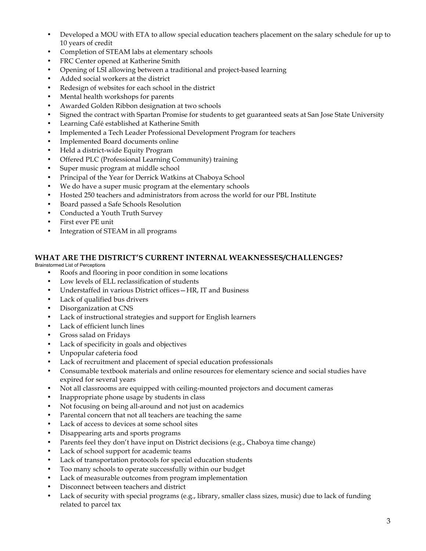- Developed a MOU with ETA to allow special education teachers placement on the salary schedule for up to 10 years of credit
- Completion of STEAM labs at elementary schools
- FRC Center opened at Katherine Smith
- Opening of LSI allowing between a traditional and project-based learning
- Added social workers at the district
- Redesign of websites for each school in the district
- Mental health workshops for parents
- Awarded Golden Ribbon designation at two schools
- Signed the contract with Spartan Promise for students to get guaranteed seats at San Jose State University
- Learning Café established at Katherine Smith
- Implemented a Tech Leader Professional Development Program for teachers
- Implemented Board documents online
- Held a district-wide Equity Program
- Offered PLC (Professional Learning Community) training
- Super music program at middle school
- Principal of the Year for Derrick Watkins at Chaboya School
- We do have a super music program at the elementary schools
- Hosted 250 teachers and administrators from across the world for our PBL Institute
- Board passed a Safe Schools Resolution
- Conducted a Youth Truth Survey
- First ever PE unit
- Integration of STEAM in all programs

#### **WHAT ARE THE DISTRICT'S CURRENT INTERNAL WEAKNESSES/CHALLENGES?** Brainstormed List of Perceptions

- Roofs and flooring in poor condition in some locations
- Low levels of ELL reclassification of students
- Understaffed in various District offices—HR, IT and Business
- Lack of qualified bus drivers
- Disorganization at CNS
- Lack of instructional strategies and support for English learners
- Lack of efficient lunch lines
- Gross salad on Fridays
- Lack of specificity in goals and objectives
- Unpopular cafeteria food
- Lack of recruitment and placement of special education professionals
- Consumable textbook materials and online resources for elementary science and social studies have expired for several years
- Not all classrooms are equipped with ceiling-mounted projectors and document cameras
- Inappropriate phone usage by students in class
- Not focusing on being all-around and not just on academics
- Parental concern that not all teachers are teaching the same
- Lack of access to devices at some school sites
- Disappearing arts and sports programs
- Parents feel they don't have input on District decisions (e.g., Chaboya time change)
- Lack of school support for academic teams
- Lack of transportation protocols for special education students
- Too many schools to operate successfully within our budget
- Lack of measurable outcomes from program implementation
- Disconnect between teachers and district
- Lack of security with special programs (e.g., library, smaller class sizes, music) due to lack of funding related to parcel tax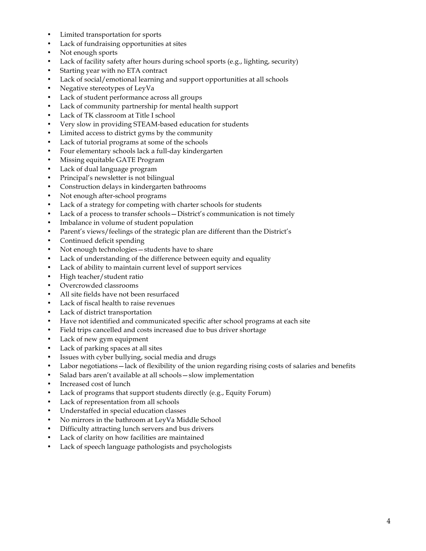- Limited transportation for sports
- Lack of fundraising opportunities at sites
- Not enough sports
- Lack of facility safety after hours during school sports (e.g., lighting, security)
- Starting year with no ETA contract
- Lack of social/emotional learning and support opportunities at all schools
- Negative stereotypes of LeyVa
- Lack of student performance across all groups
- Lack of community partnership for mental health support
- Lack of TK classroom at Title I school
- Very slow in providing STEAM-based education for students
- Limited access to district gyms by the community
- Lack of tutorial programs at some of the schools
- Four elementary schools lack a full-day kindergarten
- Missing equitable GATE Program
- Lack of dual language program
- Principal's newsletter is not bilingual
- Construction delays in kindergarten bathrooms
- Not enough after-school programs
- Lack of a strategy for competing with charter schools for students
- Lack of a process to transfer schools District's communication is not timely
- Imbalance in volume of student population
- Parent's views/feelings of the strategic plan are different than the District's
- Continued deficit spending
- Not enough technologies students have to share
- Lack of understanding of the difference between equity and equality
- Lack of ability to maintain current level of support services
- High teacher/student ratio
- Overcrowded classrooms
- All site fields have not been resurfaced
- Lack of fiscal health to raise revenues
- Lack of district transportation
- Have not identified and communicated specific after school programs at each site
- Field trips cancelled and costs increased due to bus driver shortage
- Lack of new gym equipment
- Lack of parking spaces at all sites
- Issues with cyber bullying, social media and drugs
- Labor negotiations lack of flexibility of the union regarding rising costs of salaries and benefits
- Salad bars aren't available at all schools—slow implementation
- Increased cost of lunch
- Lack of programs that support students directly (e.g., Equity Forum)
- Lack of representation from all schools
- Understaffed in special education classes
- No mirrors in the bathroom at LeyVa Middle School
- Difficulty attracting lunch servers and bus drivers
- Lack of clarity on how facilities are maintained
- Lack of speech language pathologists and psychologists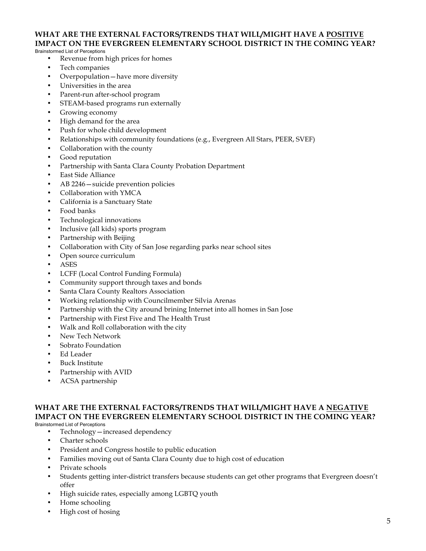## **WHAT ARE THE EXTERNAL FACTORS/TRENDS THAT WILL/MIGHT HAVE A POSITIVE IMPACT ON THE EVERGREEN ELEMENTARY SCHOOL DISTRICT IN THE COMING YEAR?**

#### Brainstormed List of Perceptions

- Revenue from high prices for homes
- Tech companies
- Overpopulation—have more diversity
- Universities in the area
- Parent-run after-school program
- STEAM-based programs run externally
- Growing economy
- High demand for the area
- Push for whole child development
- Relationships with community foundations (e.g., Evergreen All Stars, PEER, SVEF)
- Collaboration with the county
- Good reputation
- Partnership with Santa Clara County Probation Department
- East Side Alliance
- AB 2246—suicide prevention policies
- Collaboration with YMCA
- California is a Sanctuary State
- Food banks
- Technological innovations
- Inclusive (all kids) sports program
- Partnership with Beijing
- Collaboration with City of San Jose regarding parks near school sites
- Open source curriculum
- ASES
- LCFF (Local Control Funding Formula)
- Community support through taxes and bonds
- Santa Clara County Realtors Association
- Working relationship with Councilmember Silvia Arenas
- Partnership with the City around brining Internet into all homes in San Jose
- Partnership with First Five and The Health Trust
- Walk and Roll collaboration with the city
- New Tech Network
- Sobrato Foundation
- Ed Leader
- Buck Institute
- Partnership with AVID
- ACSA partnership

#### **WHAT ARE THE EXTERNAL FACTORS/TRENDS THAT WILL/MIGHT HAVE A NEGATIVE IMPACT ON THE EVERGREEN ELEMENTARY SCHOOL DISTRICT IN THE COMING YEAR?** Brainstormed List of Perceptions

- Technology—increased dependency
- Charter schools
- President and Congress hostile to public education
- Families moving out of Santa Clara County due to high cost of education
- Private schools
- Students getting inter-district transfers because students can get other programs that Evergreen doesn't offer
- High suicide rates, especially among LGBTQ youth
- Home schooling
- High cost of hosing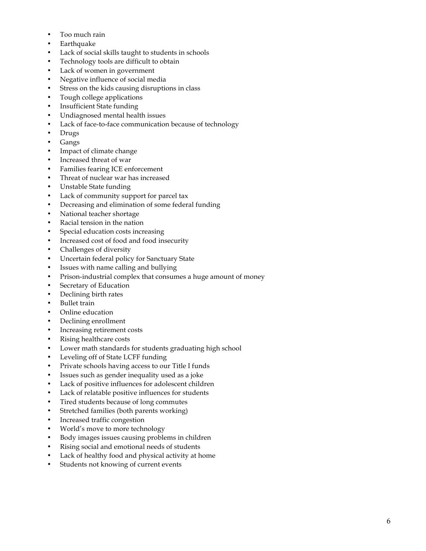- Too much rain
- Earthquake
- Lack of social skills taught to students in schools
- Technology tools are difficult to obtain
- Lack of women in government
- Negative influence of social media
- Stress on the kids causing disruptions in class
- Tough college applications
- Insufficient State funding
- Undiagnosed mental health issues
- Lack of face-to-face communication because of technology
- Drugs
- Gangs
- Impact of climate change
- Increased threat of war
- Families fearing ICE enforcement
- Threat of nuclear war has increased
- Unstable State funding
- Lack of community support for parcel tax
- Decreasing and elimination of some federal funding
- National teacher shortage
- Racial tension in the nation
- Special education costs increasing
- Increased cost of food and food insecurity
- Challenges of diversity
- Uncertain federal policy for Sanctuary State
- Issues with name calling and bullying
- Prison-industrial complex that consumes a huge amount of money
- Secretary of Education
- Declining birth rates
- Bullet train
- Online education
- Declining enrollment
- Increasing retirement costs
- Rising healthcare costs
- Lower math standards for students graduating high school
- Leveling off of State LCFF funding
- Private schools having access to our Title I funds
- Issues such as gender inequality used as a joke
- Lack of positive influences for adolescent children
- Lack of relatable positive influences for students
- Tired students because of long commutes
- Stretched families (both parents working)
- Increased traffic congestion
- World's move to more technology
- Body images issues causing problems in children
- Rising social and emotional needs of students
- Lack of healthy food and physical activity at home
- Students not knowing of current events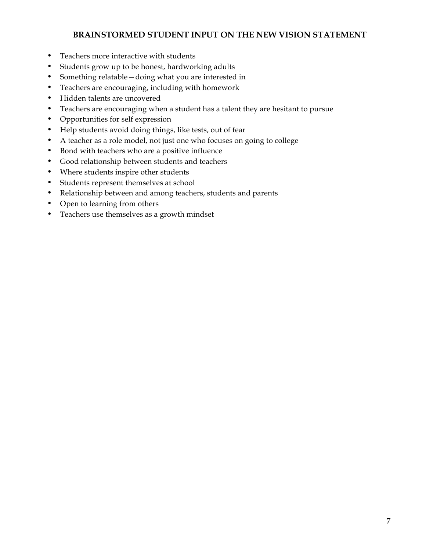## **BRAINSTORMED STUDENT INPUT ON THE NEW VISION STATEMENT**

- Teachers more interactive with students
- Students grow up to be honest, hardworking adults
- Something relatable—doing what you are interested in
- Teachers are encouraging, including with homework
- Hidden talents are uncovered
- Teachers are encouraging when a student has a talent they are hesitant to pursue
- Opportunities for self expression
- Help students avoid doing things, like tests, out of fear
- A teacher as a role model, not just one who focuses on going to college
- Bond with teachers who are a positive influence
- Good relationship between students and teachers
- Where students inspire other students
- Students represent themselves at school
- Relationship between and among teachers, students and parents
- Open to learning from others
- Teachers use themselves as a growth mindset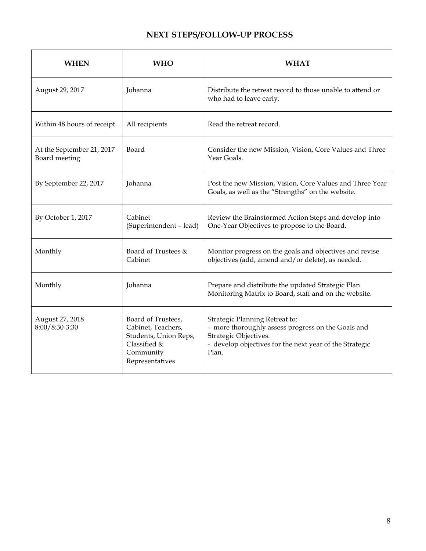## **NEXT STEPS/FOLLOW-UP PROCESS**

| <b>WHEN</b>                                | <b>WHO</b>                                                                                                        | <b>WHAT</b>                                                                                                                                                                       |
|--------------------------------------------|-------------------------------------------------------------------------------------------------------------------|-----------------------------------------------------------------------------------------------------------------------------------------------------------------------------------|
| August 29, 2017                            | Johanna                                                                                                           | Distribute the retreat record to those unable to attend or<br>who had to leave early.                                                                                             |
| Within 48 hours of receipt                 | All recipients                                                                                                    | Read the retreat record.                                                                                                                                                          |
| At the September 21, 2017<br>Board meeting | Board                                                                                                             | Consider the new Mission, Vision, Core Values and Three<br>Year Goals.                                                                                                            |
| By September 22, 2017                      | Johanna                                                                                                           | Post the new Mission, Vision, Core Values and Three Year<br>Goals, as well as the "Strengths" on the website.                                                                     |
| By October 1, 2017                         | Cabinet<br>(Superintendent - lead)                                                                                | Review the Brainstormed Action Steps and develop into<br>One-Year Objectives to propose to the Board.                                                                             |
| Monthly                                    | Board of Trustees &<br>Cabinet                                                                                    | Monitor progress on the goals and objectives and revise<br>objectives (add, amend and/or delete), as needed.                                                                      |
| Monthly                                    | Johanna                                                                                                           | Prepare and distribute the updated Strategic Plan<br>Monitoring Matrix to Board, staff and on the website.                                                                        |
| August 27, 2018<br>8:00/8:30-3:30          | Board of Trustees,<br>Cabinet, Teachers,<br>Students, Union Reps,<br>Classified &<br>Community<br>Representatives | Strategic Planning Retreat to:<br>- more thoroughly assess progress on the Goals and<br>Strategic Objectives.<br>- develop objectives for the next year of the Strategic<br>Plan. |